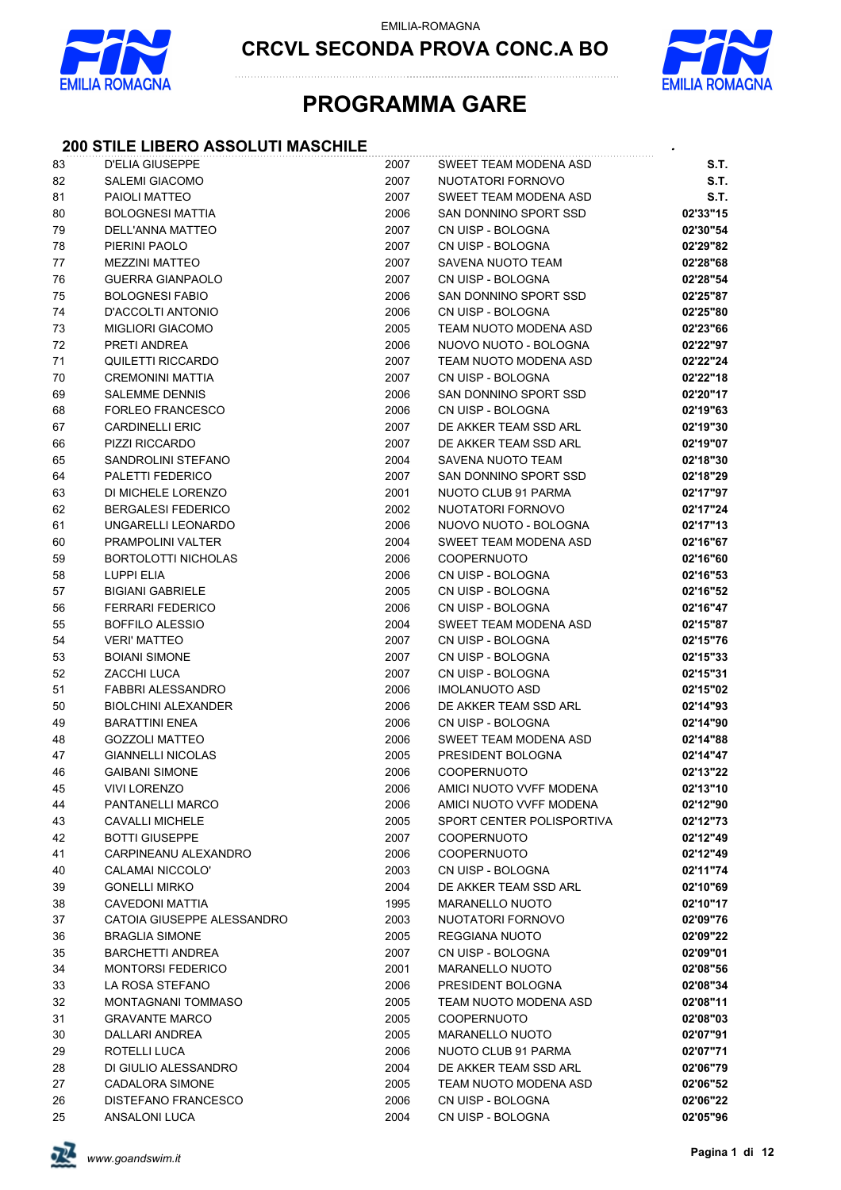

**CRCVL SECONDA PROVA CONC.A BO**



## **PROGRAMMA GARE**

### **200 STILE LIBERO ASSOLUTI MASCHILE** *.*

| 83 | D'ELIA GIUSEPPE            | 2007 | SWEET TEAM MODENA ASD     | <b>S.T.</b> |
|----|----------------------------|------|---------------------------|-------------|
| 82 | <b>SALEMI GIACOMO</b>      | 2007 | NUOTATORI FORNOVO         | <b>S.T.</b> |
| 81 | PAIOLI MATTEO              | 2007 | SWEET TEAM MODENA ASD     | S.T.        |
| 80 | <b>BOLOGNESI MATTIA</b>    | 2006 | SAN DONNINO SPORT SSD     | 02'33"15    |
| 79 | DELL'ANNA MATTEO           | 2007 | CN UISP - BOLOGNA         | 02'30"54    |
| 78 | PIERINI PAOLO              | 2007 | CN UISP - BOLOGNA         | 02'29"82    |
| 77 | <b>MEZZINI MATTEO</b>      | 2007 | SAVENA NUOTO TEAM         | 02'28"68    |
| 76 | <b>GUERRA GIANPAOLO</b>    | 2007 | CN UISP - BOLOGNA         | 02'28"54    |
| 75 | <b>BOLOGNESI FABIO</b>     | 2006 | SAN DONNINO SPORT SSD     | 02'25"87    |
| 74 | D'ACCOLTI ANTONIO          | 2006 | CN UISP - BOLOGNA         | 02'25"80    |
| 73 | <b>MIGLIORI GIACOMO</b>    | 2005 | TEAM NUOTO MODENA ASD     | 02'23"66    |
| 72 | PRETI ANDREA               | 2006 | NUOVO NUOTO - BOLOGNA     | 02'22"97    |
| 71 | QUILETTI RICCARDO          | 2007 | TEAM NUOTO MODENA ASD     | 02'22"24    |
| 70 | <b>CREMONINI MATTIA</b>    | 2007 | CN UISP - BOLOGNA         | 02'22"18    |
| 69 | <b>SALEMME DENNIS</b>      | 2006 | SAN DONNINO SPORT SSD     | 02'20"17    |
| 68 | <b>FORLEO FRANCESCO</b>    | 2006 | CN UISP - BOLOGNA         | 02'19"63    |
| 67 | <b>CARDINELLI ERIC</b>     | 2007 | DE AKKER TEAM SSD ARL     | 02'19"30    |
| 66 | PIZZI RICCARDO             | 2007 | DE AKKER TEAM SSD ARL     | 02'19"07    |
| 65 | SANDROLINI STEFANO         | 2004 | SAVENA NUOTO TEAM         | 02'18"30    |
| 64 | PALETTI FEDERICO           | 2007 | SAN DONNINO SPORT SSD     | 02'18"29    |
| 63 | DI MICHELE LORENZO         | 2001 | NUOTO CLUB 91 PARMA       | 02'17"97    |
| 62 | <b>BERGALESI FEDERICO</b>  | 2002 | NUOTATORI FORNOVO         | 02'17"24    |
| 61 | UNGARELLI LEONARDO         | 2006 | NUOVO NUOTO - BOLOGNA     | 02'17"13    |
| 60 | PRAMPOLINI VALTER          | 2004 | SWEET TEAM MODENA ASD     | 02'16"67    |
| 59 | <b>BORTOLOTTI NICHOLAS</b> | 2006 | <b>COOPERNUOTO</b>        | 02'16"60    |
| 58 | <b>LUPPI ELIA</b>          | 2006 | CN UISP - BOLOGNA         | 02'16"53    |
| 57 | <b>BIGIANI GABRIELE</b>    | 2005 | CN UISP - BOLOGNA         | 02'16"52    |
| 56 | <b>FERRARI FEDERICO</b>    | 2006 | CN UISP - BOLOGNA         | 02'16"47    |
| 55 | <b>BOFFILO ALESSIO</b>     | 2004 | SWEET TEAM MODENA ASD     | 02'15"87    |
| 54 | <b>VERI' MATTEO</b>        | 2007 | CN UISP - BOLOGNA         | 02'15"76    |
| 53 | <b>BOIANI SIMONE</b>       | 2007 | CN UISP - BOLOGNA         | 02'15"33    |
| 52 | ZACCHI LUCA                | 2007 | CN UISP - BOLOGNA         | 02'15"31    |
| 51 | FABBRI ALESSANDRO          | 2006 | IMOLANUOTO ASD            | 02'15"02    |
| 50 | <b>BIOLCHINI ALEXANDER</b> | 2006 | DE AKKER TEAM SSD ARL     | 02'14"93    |
| 49 | <b>BARATTINI ENEA</b>      | 2006 | CN UISP - BOLOGNA         | 02'14"90    |
| 48 | <b>GOZZOLI MATTEO</b>      | 2006 | SWEET TEAM MODENA ASD     | 02'14"88    |
| 47 | <b>GIANNELLI NICOLAS</b>   | 2005 | PRESIDENT BOLOGNA         | 02'14"47    |
| 46 | <b>GAIBANI SIMONE</b>      | 2006 | COOPERNUOTO               | 02'13"22    |
| 45 | <b>VIVI LORENZO</b>        | 2006 | AMICI NUOTO VVFF MODENA   | 02'13"10    |
| 44 | PANTANELLI MARCO           | 2006 | AMICI NUOTO VVFF MODENA   | 02'12"90    |
| 43 | CAVALLI MICHELE            | 2005 | SPORT CENTER POLISPORTIVA | 02'12"73    |
| 42 | <b>BOTTI GIUSEPPE</b>      | 2007 | <b>COOPERNUOTO</b>        | 02'12"49    |
| 41 | CARPINEANU ALEXANDRO       | 2006 | <b>COOPERNUOTO</b>        | 02'12"49    |
| 40 | <b>CALAMAI NICCOLO'</b>    | 2003 | CN UISP - BOLOGNA         | 02'11"74    |
| 39 | <b>GONELLI MIRKO</b>       | 2004 | DE AKKER TEAM SSD ARL     | 02'10"69    |
| 38 | <b>CAVEDONI MATTIA</b>     | 1995 | <b>MARANELLO NUOTO</b>    | 02'10"17    |
| 37 | CATOIA GIUSEPPE ALESSANDRO | 2003 | NUOTATORI FORNOVO         | 02'09"76    |
| 36 | <b>BRAGLIA SIMONE</b>      | 2005 | REGGIANA NUOTO            | 02'09"22    |
| 35 | <b>BARCHETTI ANDREA</b>    | 2007 | CN UISP - BOLOGNA         | 02'09"01    |
| 34 | <b>MONTORSI FEDERICO</b>   | 2001 | <b>MARANELLO NUOTO</b>    | 02'08"56    |
| 33 | LA ROSA STEFANO            | 2006 | PRESIDENT BOLOGNA         | 02'08"34    |
| 32 | MONTAGNANI TOMMASO         | 2005 | TEAM NUOTO MODENA ASD     | 02'08"11    |
| 31 | <b>GRAVANTE MARCO</b>      | 2005 | <b>COOPERNUOTO</b>        | 02'08"03    |
| 30 | DALLARI ANDREA             | 2005 | <b>MARANELLO NUOTO</b>    | 02'07"91    |
| 29 | ROTELLI LUCA               | 2006 | NUOTO CLUB 91 PARMA       | 02'07"71    |
| 28 | DI GIULIO ALESSANDRO       | 2004 | DE AKKER TEAM SSD ARL     | 02'06"79    |
| 27 | CADALORA SIMONE            | 2005 | TEAM NUOTO MODENA ASD     | 02'06"52    |
| 26 | DISTEFANO FRANCESCO        | 2006 | CN UISP - BOLOGNA         | 02'06"22    |
| 25 | ANSALONI LUCA              | 2004 | CN UISP - BOLOGNA         | 02'05"96    |

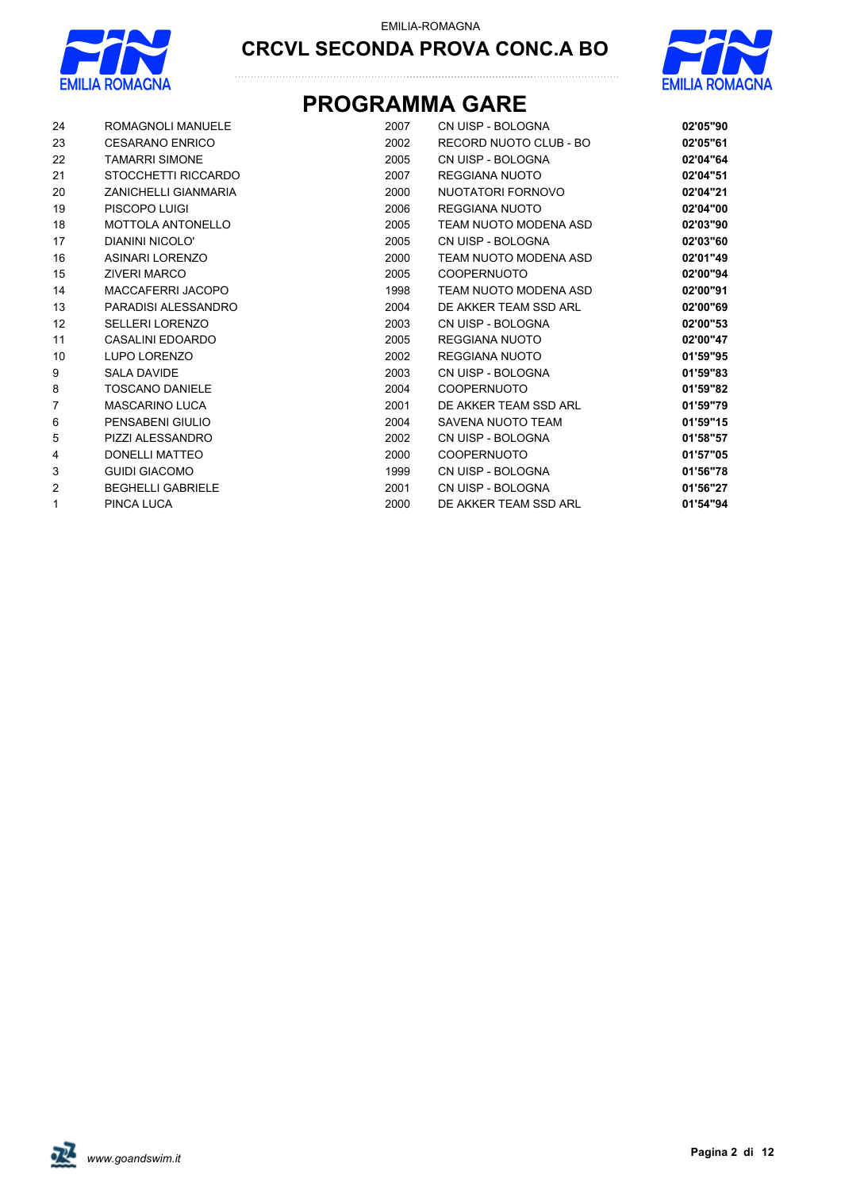



## **PROGRAMMA GARE**

| 24             | ROMAGNOLI MANUELE           | 2007 | CN UISP - BOLOGNA      | 02'05"90 |
|----------------|-----------------------------|------|------------------------|----------|
| 23             | <b>CESARANO ENRICO</b>      | 2002 | RECORD NUOTO CLUB - BO | 02'05"61 |
| 22             | <b>TAMARRI SIMONE</b>       | 2005 | CN UISP - BOLOGNA      | 02'04"64 |
| 21             | STOCCHETTI RICCARDO         | 2007 | REGGIANA NUOTO         | 02'04"51 |
| 20             | <b>ZANICHELLI GIANMARIA</b> | 2000 | NUOTATORI FORNOVO      | 02'04"21 |
| 19             | PISCOPO LUIGI               | 2006 | REGGIANA NUOTO         | 02'04"00 |
| 18             | <b>MOTTOLA ANTONELLO</b>    | 2005 | TEAM NUOTO MODENA ASD  | 02'03"90 |
| 17             | DIANINI NICOLO'             | 2005 | CN UISP - BOLOGNA      | 02'03"60 |
| 16             | <b>ASINARI LORENZO</b>      | 2000 | TEAM NUOTO MODENA ASD  | 02'01"49 |
| 15             | <b>ZIVERI MARCO</b>         | 2005 | <b>COOPERNUOTO</b>     | 02'00"94 |
| 14             | MACCAFERRI JACOPO           | 1998 | TEAM NUOTO MODENA ASD  | 02'00"91 |
| 13             | PARADISI ALESSANDRO         | 2004 | DE AKKER TEAM SSD ARL  | 02'00"69 |
| 12             | <b>SELLERI LORENZO</b>      | 2003 | CN UISP - BOLOGNA      | 02'00"53 |
| 11             | CASALINI EDOARDO            | 2005 | <b>REGGIANA NUOTO</b>  | 02'00"47 |
| 10             | <b>LUPO LORENZO</b>         | 2002 | REGGIANA NUOTO         | 01'59"95 |
| 9              | <b>SALA DAVIDE</b>          | 2003 | CN UISP - BOLOGNA      | 01'59"83 |
| 8              | <b>TOSCANO DANIELE</b>      | 2004 | <b>COOPERNUOTO</b>     | 01'59"82 |
| $\overline{7}$ | <b>MASCARINO LUCA</b>       | 2001 | DE AKKER TEAM SSD ARL  | 01'59"79 |
| 6              | PENSABENI GIULIO            | 2004 | SAVENA NUOTO TEAM      | 01'59"15 |
| 5              | PIZZI ALESSANDRO            | 2002 | CN UISP - BOLOGNA      | 01'58"57 |
| 4              | <b>DONELLI MATTEO</b>       | 2000 | <b>COOPERNUOTO</b>     | 01'57"05 |
| 3              | <b>GUIDI GIACOMO</b>        | 1999 | CN UISP - BOLOGNA      | 01'56"78 |
| $\overline{2}$ | <b>BEGHELLI GABRIELE</b>    | 2001 | CN UISP - BOLOGNA      | 01'56"27 |
| 1              | <b>PINCA LUCA</b>           | 2000 | DE AKKER TEAM SSD ARL  | 01'54"94 |

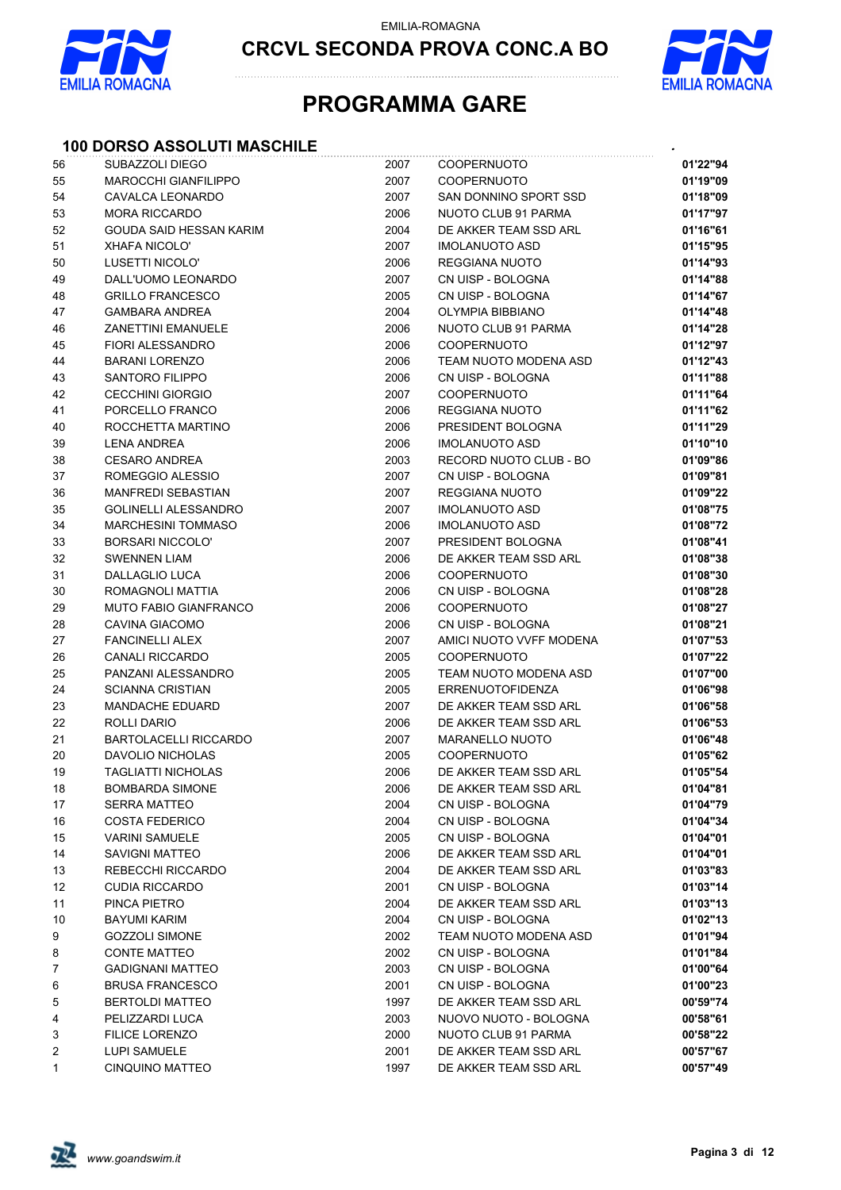

**CRCVL SECONDA PROVA CONC.A BO**



## **PROGRAMMA GARE**

### **100 DORSO ASSOLUTI MASCHILE** *.*

| 56             | SUBAZZOLI DIEGO              | 2007 | COOPERNUOTO             | 01'22"94 |
|----------------|------------------------------|------|-------------------------|----------|
| 55             | <b>MAROCCHI GIANFILIPPO</b>  | 2007 | <b>COOPERNUOTO</b>      | 01'19"09 |
| 54             | CAVALCA LEONARDO             | 2007 | SAN DONNINO SPORT SSD   | 01'18"09 |
| 53             | <b>MORA RICCARDO</b>         | 2006 | NUOTO CLUB 91 PARMA     | 01'17"97 |
| 52             | GOUDA SAID HESSAN KARIM      | 2004 | DE AKKER TEAM SSD ARL   | 01'16"61 |
| 51             | <b>XHAFA NICOLO'</b>         | 2007 | <b>IMOLANUOTO ASD</b>   | 01'15"95 |
| 50             | LUSETTI NICOLO'              | 2006 | REGGIANA NUOTO          | 01'14"93 |
| 49             | DALL'UOMO LEONARDO           | 2007 | CN UISP - BOLOGNA       | 01'14"88 |
| 48             | <b>GRILLO FRANCESCO</b>      | 2005 | CN UISP - BOLOGNA       | 01'14"67 |
| 47             | <b>GAMBARA ANDREA</b>        | 2004 | OLYMPIA BIBBIANO        | 01'14"48 |
| 46             | <b>ZANETTINI EMANUELE</b>    | 2006 | NUOTO CLUB 91 PARMA     | 01'14"28 |
| 45             | <b>FIORI ALESSANDRO</b>      | 2006 | <b>COOPERNUOTO</b>      | 01'12"97 |
| 44             | <b>BARANI LORENZO</b>        | 2006 | TEAM NUOTO MODENA ASD   | 01'12"43 |
| 43             | <b>SANTORO FILIPPO</b>       | 2006 | CN UISP - BOLOGNA       | 01'11"88 |
| 42             | <b>CECCHINI GIORGIO</b>      | 2007 | COOPERNUOTO             | 01'11"64 |
| 41             | PORCELLO FRANCO              | 2006 | <b>REGGIANA NUOTO</b>   | 01'11"62 |
| 40             | ROCCHETTA MARTINO            | 2006 | PRESIDENT BOLOGNA       | 01'11"29 |
| 39             | <b>LENA ANDREA</b>           | 2006 | <b>IMOLANUOTO ASD</b>   | 01'10"10 |
| 38             | <b>CESARO ANDREA</b>         | 2003 | RECORD NUOTO CLUB - BO  | 01'09"86 |
| 37             | ROMEGGIO ALESSIO             | 2007 | CN UISP - BOLOGNA       | 01'09"81 |
| 36             | <b>MANFREDI SEBASTIAN</b>    | 2007 | <b>REGGIANA NUOTO</b>   | 01'09"22 |
| 35             | <b>GOLINELLI ALESSANDRO</b>  | 2007 | <b>IMOLANUOTO ASD</b>   | 01'08"75 |
| 34             | <b>MARCHESINI TOMMASO</b>    | 2006 | <b>IMOLANUOTO ASD</b>   | 01'08"72 |
| 33             | <b>BORSARI NICCOLO'</b>      | 2007 | PRESIDENT BOLOGNA       | 01'08"41 |
| 32             | <b>SWENNEN LIAM</b>          | 2006 | DE AKKER TEAM SSD ARL   | 01'08"38 |
| 31             | DALLAGLIO LUCA               | 2006 | <b>COOPERNUOTO</b>      | 01'08"30 |
| 30             | ROMAGNOLI MATTIA             | 2006 | CN UISP - BOLOGNA       | 01'08"28 |
| 29             | <b>MUTO FABIO GIANFRANCO</b> | 2006 | <b>COOPERNUOTO</b>      | 01'08"27 |
| 28             | CAVINA GIACOMO               | 2006 | CN UISP - BOLOGNA       | 01'08"21 |
| 27             | <b>FANCINELLI ALEX</b>       | 2007 | AMICI NUOTO VVFF MODENA | 01'07"53 |
| 26             | <b>CANALI RICCARDO</b>       | 2005 | <b>COOPERNUOTO</b>      | 01'07"22 |
| 25             | PANZANI ALESSANDRO           | 2005 | TEAM NUOTO MODENA ASD   | 01'07"00 |
| 24             | <b>SCIANNA CRISTIAN</b>      | 2005 | <b>ERRENUOTOFIDENZA</b> | 01'06"98 |
| 23             | <b>MANDACHE EDUARD</b>       | 2007 | DE AKKER TEAM SSD ARL   | 01'06"58 |
| 22             | ROLLI DARIO                  | 2006 | DE AKKER TEAM SSD ARL   | 01'06"53 |
| 21             | <b>BARTOLACELLI RICCARDO</b> | 2007 | <b>MARANELLO NUOTO</b>  | 01'06"48 |
| 20             | DAVOLIO NICHOLAS             | 2005 | <b>COOPERNUOTO</b>      | 01'05"62 |
| 19             | <b>TAGLIATTI NICHOLAS</b>    | 2006 | DE AKKER TEAM SSD ARL   | 01'05"54 |
| 18             | <b>BOMBARDA SIMONE</b>       | 2006 | DE AKKER TEAM SSD ARL   | 01'04"81 |
| 17             | <b>SERRA MATTEO</b>          | 2004 | CN UISP - BOLOGNA       | 01'04"79 |
| 16             | <b>COSTA FEDERICO</b>        | 2004 | CN UISP - BOLOGNA       | 01'04"34 |
| 15             | <b>VARINI SAMUELE</b>        | 2005 | CN UISP - BOLOGNA       | 01'04"01 |
| 14             | <b>SAVIGNI MATTEO</b>        | 2006 | DE AKKER TEAM SSD ARL   | 01'04"01 |
| 13             | REBECCHI RICCARDO            | 2004 | DE AKKER TEAM SSD ARL   | 01'03"83 |
| 12             | <b>CUDIA RICCARDO</b>        | 2001 | CN UISP - BOLOGNA       | 01'03"14 |
| 11             | PINCA PIETRO                 | 2004 | DE AKKER TEAM SSD ARL   | 01'03"13 |
| 10             | BAYUMI KARIM                 | 2004 | CN UISP - BOLOGNA       | 01'02"13 |
| 9              | <b>GOZZOLI SIMONE</b>        | 2002 | TEAM NUOTO MODENA ASD   | 01'01"94 |
| 8              | <b>CONTE MATTEO</b>          | 2002 | CN UISP - BOLOGNA       | 01'01"84 |
| $\overline{7}$ | <b>GADIGNANI MATTEO</b>      | 2003 | CN UISP - BOLOGNA       | 01'00"64 |
| 6              | <b>BRUSA FRANCESCO</b>       | 2001 | CN UISP - BOLOGNA       | 01'00"23 |
| 5              | <b>BERTOLDI MATTEO</b>       | 1997 | DE AKKER TEAM SSD ARL   | 00'59"74 |
| 4              | PELIZZARDI LUCA              | 2003 | NUOVO NUOTO - BOLOGNA   | 00'58"61 |
| 3              | <b>FILICE LORENZO</b>        | 2000 | NUOTO CLUB 91 PARMA     | 00'58"22 |
| 2              | LUPI SAMUELE                 | 2001 | DE AKKER TEAM SSD ARL   | 00'57"67 |
| 1              | <b>CINQUINO MATTEO</b>       | 1997 | DE AKKER TEAM SSD ARL   | 00'57"49 |
|                |                              |      |                         |          |

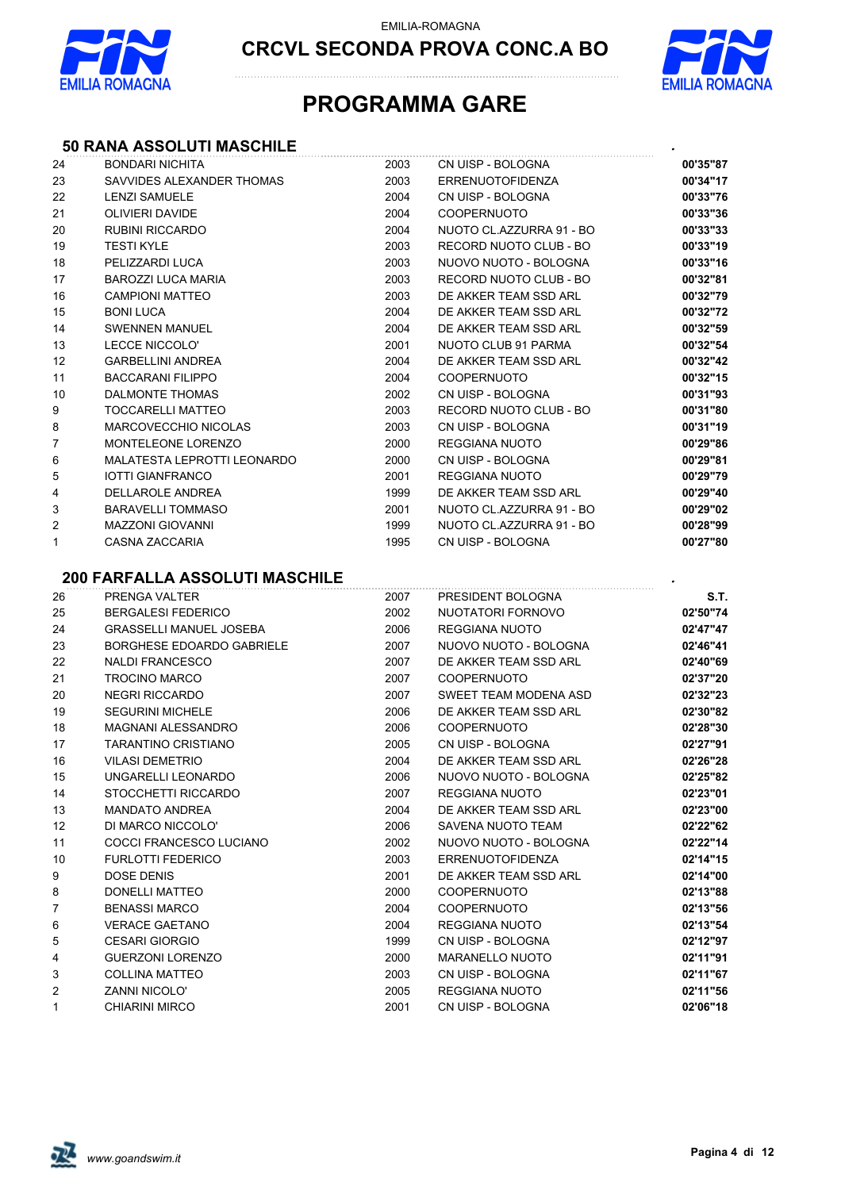

**CRCVL SECONDA PROVA CONC.A BO**



## **PROGRAMMA GARE**

### **50 RANA ASSOLUTI MASCHILE** *.*

| 24             | <b>BONDARI NICHITA</b>                | 2003 | CN UISP - BOLOGNA        | 00'35"87 |
|----------------|---------------------------------------|------|--------------------------|----------|
| 23             | SAVVIDES ALEXANDER THOMAS             | 2003 | <b>ERRENUOTOFIDENZA</b>  | 00'34"17 |
| 22             | <b>LENZI SAMUELE</b>                  | 2004 | CN UISP - BOLOGNA        | 00'33"76 |
| 21             | <b>OLIVIERI DAVIDE</b>                | 2004 | <b>COOPERNUOTO</b>       | 00'33"36 |
| 20             | <b>RUBINI RICCARDO</b>                | 2004 | NUOTO CL.AZZURRA 91 - BO | 00'33"33 |
| 19             | <b>TESTI KYLE</b>                     | 2003 | RECORD NUOTO CLUB - BO   | 00'33"19 |
| 18             | PELIZZARDI LUCA                       | 2003 | NUOVO NUOTO - BOLOGNA    | 00'33"16 |
| 17             | <b>BAROZZI LUCA MARIA</b>             | 2003 | RECORD NUOTO CLUB - BO   | 00'32"81 |
| 16             | <b>CAMPIONI MATTEO</b>                | 2003 | DE AKKER TEAM SSD ARL    | 00'32"79 |
| 15             | <b>BONI LUCA</b>                      | 2004 | DE AKKER TEAM SSD ARL    | 00'32"72 |
| 14             | <b>SWENNEN MANUEL</b>                 | 2004 | DE AKKER TEAM SSD ARL    | 00'32"59 |
| 13             | LECCE NICCOLO'                        | 2001 | NUOTO CLUB 91 PARMA      | 00'32"54 |
| 12             | <b>GARBELLINI ANDREA</b>              | 2004 | DE AKKER TEAM SSD ARL    | 00'32"42 |
| 11             | <b>BACCARANI FILIPPO</b>              | 2004 | <b>COOPERNUOTO</b>       | 00'32"15 |
| 10             | DALMONTE THOMAS                       | 2002 | CN UISP - BOLOGNA        | 00'31"93 |
| 9              | TOCCARELLI MATTEO                     | 2003 | RECORD NUOTO CLUB - BO   | 00'31"80 |
| 8              | MARCOVECCHIO NICOLAS                  | 2003 | CN UISP - BOLOGNA        | 00'31"19 |
| $\overline{7}$ | MONTELEONE LORENZO                    | 2000 | <b>REGGIANA NUOTO</b>    | 00'29"86 |
| 6              | MALATESTA LEPROTTI LEONARDO           | 2000 | CN UISP - BOLOGNA        | 00'29"81 |
| 5              | <b>IOTTI GIANFRANCO</b>               | 2001 | REGGIANA NUOTO           | 00'29"79 |
| 4              | DELLAROLE ANDREA                      | 1999 | DE AKKER TEAM SSD ARL    | 00'29"40 |
| 3              | <b>BARAVELLI TOMMASO</b>              | 2001 | NUOTO CL.AZZURRA 91 - BO | 00'29"02 |
| 2              | <b>MAZZONI GIOVANNI</b>               | 1999 | NUOTO CL.AZZURRA 91 - BO | 00'28"99 |
| 1              | CASNA ZACCARIA                        | 1995 | CN UISP - BOLOGNA        | 00'27"80 |
|                | <b>200 FARFALLA ASSOLUTI MASCHILE</b> |      |                          |          |
| 26             | PRENGA VALTER                         | 2007 | PRESIDENT BOLOGNA        | S.T.     |
| 25             | <b>BERGALESI FEDERICO</b>             | 2002 | NUOTATORI FORNOVO        | 02'50"74 |
| 24             | <b>GRASSELLI MANUEL JOSEBA</b>        | 2006 | REGGIANA NUOTO           | 02'47"47 |
| 23             | BORGHESE EDOARDO GABRIELE             | 2007 | NUOVO NUOTO - BOLOGNA    | 02'46"41 |
| 22             | <b>NALDI FRANCESCO</b>                | 2007 | DE AKKER TEAM SSD ARL    | 02'40"69 |
| 21             | <b>TROCINO MARCO</b>                  | 2007 | <b>COOPERNUOTO</b>       | 02'37"20 |
| 20             | <b>NEGRI RICCARDO</b>                 | 2007 | SWEET TEAM MODENA ASD    | 02'32"23 |
| 19             | <b>SEGURINI MICHELE</b>               | 2006 | DE AKKER TEAM SSD ARL    | 02'30"82 |
| 18             | <b>MAGNANI ALESSANDRO</b>             | 2006 | <b>COOPERNUOTO</b>       | 02'28"30 |
| 17             | <b>TARANTINO CRISTIANO</b>            | 2005 | CN UISP - BOLOGNA        | 02'27"91 |
| 16             | <b>VILASI DEMETRIO</b>                | 2004 | DE AKKER TEAM SSD ARL    | 02'26"28 |
| 15             | UNGARELLI LEONARDO                    | 2006 | NUOVO NUOTO - BOLOGNA    | 02'25"82 |
| 14             | STOCCHETTI RICCARDO                   | 2007 | REGGIANA NUOTO           | 02'23"01 |
| 13             | <b>MANDATO ANDREA</b>                 | 2004 | DE AKKER TEAM SSD ARL    | 02'23"00 |
| 12             | DI MARCO NICCOLO'                     | 2006 | SAVENA NUOTO TEAM        | 02'22"62 |
| 11             | COCCI FRANCESCO LUCIANO               | 2002 | NUOVO NUOTO - BOLOGNA    | 02'22"14 |
| 10             | <b>FURLOTTI FEDERICO</b>              | 2003 | <b>ERRENUOTOFIDENZA</b>  | 02'14"15 |
| 9              | DOSE DENIS                            | 2001 | DE AKKER TEAM SSD ARL    | 02'14"00 |
| 8              | DONELLI MATTEO                        | 2000 | <b>COOPERNUOTO</b>       | 02'13"88 |
| 7              | <b>BENASSI MARCO</b>                  | 2004 | <b>COOPERNUOTO</b>       | 02'13"56 |
| 6              | <b>VERACE GAETANO</b>                 | 2004 | REGGIANA NUOTO           | 02'13"54 |
| 5              | <b>CESARI GIORGIO</b>                 | 1999 | CN UISP - BOLOGNA        | 02'12"97 |
| 4              | <b>GUERZONI LORENZO</b>               | 2000 | <b>MARANELLO NUOTO</b>   | 02'11"91 |
| 3              | COLLINA MATTEO                        | 2003 | CN UISP - BOLOGNA        | 02'11"67 |
| 2              | ZANNI NICOLO'                         | 2005 | REGGIANA NUOTO           | 02'11"56 |
| 1              | <b>CHIARINI MIRCO</b>                 | 2001 | CN UISP - BOLOGNA        | 02'06"18 |

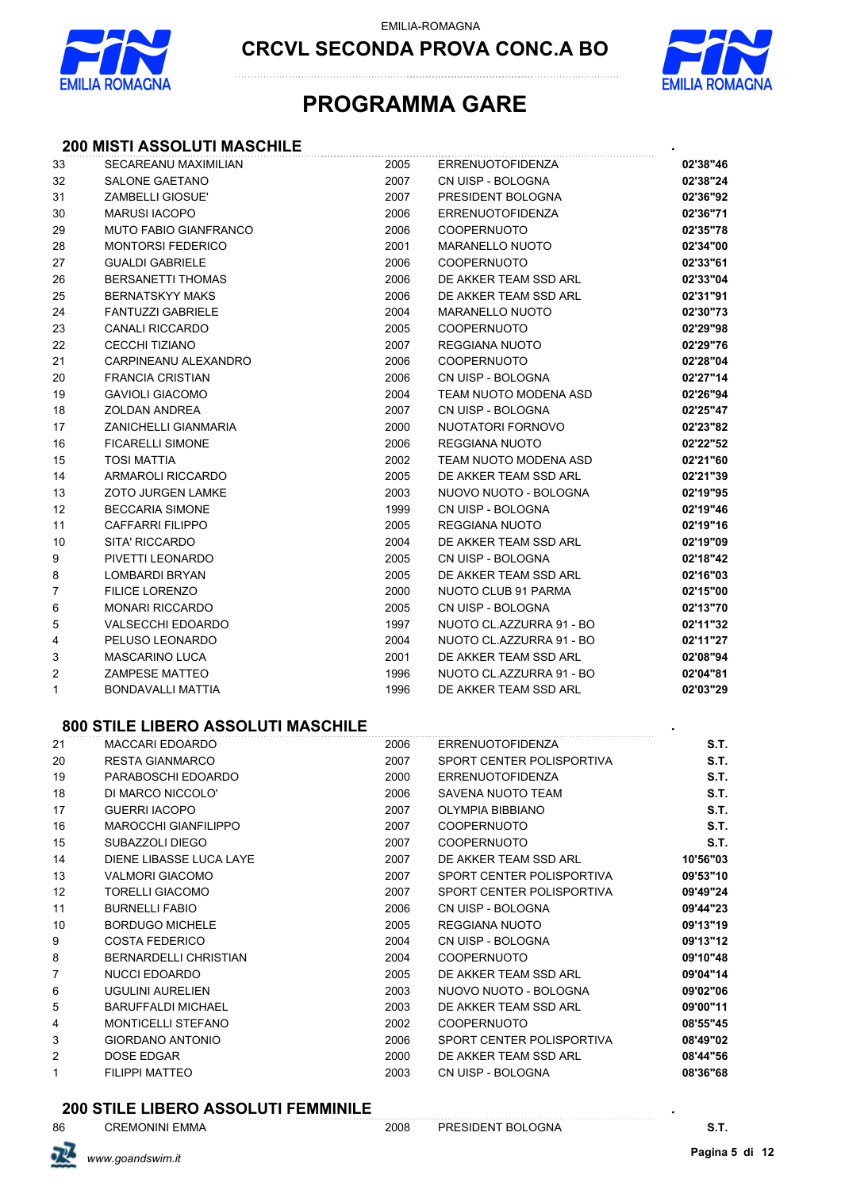

**CRCVL SECONDA PROVA CONC.A BO**



## **PROGRAMMA GARE**

#### **200 MISTI ASSOLUTI MASCHILE** *.*

| 33 | SECAREANU MAXIMILIAN                      | 2005 | <b>ERRENUOTOFIDENZA</b>   | 02'38"46 |
|----|-------------------------------------------|------|---------------------------|----------|
| 32 | <b>SALONE GAETANO</b>                     | 2007 | CN UISP - BOLOGNA         | 02'38"24 |
| 31 | <b>ZAMBELLI GIOSUE'</b>                   | 2007 | PRESIDENT BOLOGNA         | 02'36"92 |
| 30 | <b>MARUSI IACOPO</b>                      | 2006 | <b>ERRENUOTOFIDENZA</b>   | 02'36"71 |
| 29 | <b>MUTO FABIO GIANFRANCO</b>              | 2006 | <b>COOPERNUOTO</b>        | 02'35"78 |
| 28 | <b>MONTORSI FEDERICO</b>                  | 2001 | <b>MARANELLO NUOTO</b>    | 02'34"00 |
| 27 | <b>GUALDI GABRIELE</b>                    | 2006 | <b>COOPERNUOTO</b>        | 02'33"61 |
| 26 | <b>BERSANETTI THOMAS</b>                  | 2006 | DE AKKER TEAM SSD ARL     | 02'33"04 |
| 25 | <b>BERNATSKYY MAKS</b>                    | 2006 | DE AKKER TEAM SSD ARL     | 02'31"91 |
| 24 | <b>FANTUZZI GABRIELE</b>                  | 2004 | <b>MARANELLO NUOTO</b>    | 02'30"73 |
| 23 | <b>CANALI RICCARDO</b>                    | 2005 | <b>COOPERNUOTO</b>        | 02'29"98 |
| 22 | <b>CECCHI TIZIANO</b>                     | 2007 | REGGIANA NUOTO            | 02'29"76 |
| 21 | CARPINEANU ALEXANDRO                      | 2006 | <b>COOPERNUOTO</b>        | 02'28"04 |
| 20 | <b>FRANCIA CRISTIAN</b>                   | 2006 | CN UISP - BOLOGNA         | 02'27"14 |
| 19 | <b>GAVIOLI GIACOMO</b>                    | 2004 | TEAM NUOTO MODENA ASD     | 02'26"94 |
| 18 | <b>ZOLDAN ANDREA</b>                      | 2007 | CN UISP - BOLOGNA         | 02'25"47 |
| 17 | ZANICHELLI GIANMARIA                      | 2000 | NUOTATORI FORNOVO         | 02'23"82 |
| 16 | <b>FICARELLI SIMONE</b>                   | 2006 | <b>REGGIANA NUOTO</b>     | 02'22"52 |
| 15 | <b>TOSI MATTIA</b>                        | 2002 | TEAM NUOTO MODENA ASD     | 02'21"60 |
| 14 | ARMAROLI RICCARDO                         | 2005 | DE AKKER TEAM SSD ARL     | 02'21"39 |
| 13 | <b>ZOTO JURGEN LAMKE</b>                  | 2003 | NUOVO NUOTO - BOLOGNA     | 02'19"95 |
| 12 | <b>BECCARIA SIMONE</b>                    | 1999 | CN UISP - BOLOGNA         | 02'19"46 |
| 11 | CAFFARRI FILIPPO                          | 2005 | REGGIANA NUOTO            | 02'19"16 |
| 10 | SITA' RICCARDO                            | 2004 | DE AKKER TEAM SSD ARL     | 02'19"09 |
| 9  | PIVETTI LEONARDO                          | 2005 | CN UISP - BOLOGNA         | 02'18"42 |
| 8  | LOMBARDI BRYAN                            | 2005 | DE AKKER TEAM SSD ARL     | 02'16"03 |
| 7  | <b>FILICE LORENZO</b>                     | 2000 | NUOTO CLUB 91 PARMA       | 02'15"00 |
| 6  | <b>MONARI RICCARDO</b>                    | 2005 | CN UISP - BOLOGNA         | 02'13"70 |
| 5  | <b>VALSECCHI EDOARDO</b>                  | 1997 | NUOTO CL.AZZURRA 91 - BO  | 02'11"32 |
| 4  | PELUSO LEONARDO                           | 2004 | NUOTO CL.AZZURRA 91 - BO  | 02'11"27 |
| 3  | <b>MASCARINO LUCA</b>                     | 2001 | DE AKKER TEAM SSD ARL     | 02'08"94 |
| 2  | <b>ZAMPESE MATTEO</b>                     | 1996 | NUOTO CL.AZZURRA 91 - BO  | 02'04"81 |
| 1  | BONDAVALLI MATTIA                         | 1996 | DE AKKER TEAM SSD ARL     | 02'03"29 |
|    | <b>800 STILE LIBERO ASSOLUTI MASCHILE</b> |      |                           |          |
| 21 | <b>MACCARI EDOARDO</b>                    | 2006 | <b>ERRENUOTOFIDENZA</b>   | S.T.     |
| 20 | <b>RESTA GIANMARCO</b>                    | 2007 | SPORT CENTER POLISPORTIVA | S.T.     |
| 19 | PARABOSCHI EDOARDO                        | 2000 | <b>ERRENUOTOFIDENZA</b>   | S.T.     |
| 18 | DI MARCO NICCOLO'                         | 2006 | <b>SAVENA NUOTO TEAM</b>  | S.T.     |
| 17 | <b>GUERRI IACOPO</b>                      | 2007 | <b>OLYMPIA BIBBIANO</b>   | S.T.     |
| 16 | <b>MAROCCHI GIANFILIPPO</b>               | 2007 | <b>COOPERNUOTO</b>        | S.T.     |
| 15 | SUBAZZOLI DIEGO                           | 2007 | <b>COOPERNUOTO</b>        | S.T.     |
| 14 | DIENE LIBASSE LUCA LAYE                   | 2007 | DE AKKER TEAM SSD ARL     | 10'56"03 |
| 13 | <b>VALMORI GIACOMO</b>                    | 2007 | SPORT CENTER POLISPORTIVA | 09'53"10 |
| 12 | <b>TORELLI GIACOMO</b>                    | 2007 | SPORT CENTER POLISPORTIVA | 09'49"24 |
| 11 | <b>BURNELLI FABIO</b>                     | 2006 | CN UISP - BOLOGNA         | 09'44"23 |
| 10 | <b>BORDUGO MICHELE</b>                    | 2005 | <b>REGGIANA NUOTO</b>     | 09'13"19 |
| 9  | <b>COSTA FEDERICO</b>                     | 2004 | CN UISP - BOLOGNA         | 09'13"12 |
| 8  | <b>BERNARDELLI CHRISTIAN</b>              | 2004 | COOPERNUOTO               | 09'10"48 |
| 7  | NUCCI EDOARDO                             | 2005 | DE AKKER TEAM SSD ARL     | 09'04"14 |

 UGULINI AURELIEN 2003 NUOVO NUOTO - BOLOGNA **09'02"06** BARUFFALDI MICHAEL 2003 DE AKKER TEAM SSD ARL **09'00"11** MONTICELLI STEFANO 2002 COOPERNUOTO **08'55"45** GIORDANO ANTONIO 2006 SPORT CENTER POLISPORTIVA **08'49"02** DOSE EDGAR 2000 DE AKKER TEAM SSD ARL **08'44"56** FILIPPI MATTEO 2003 CN UISP - BOLOGNA **08'36"68**

**200 STILE LIBERO ASSOLUTI FEMMINILE** *.*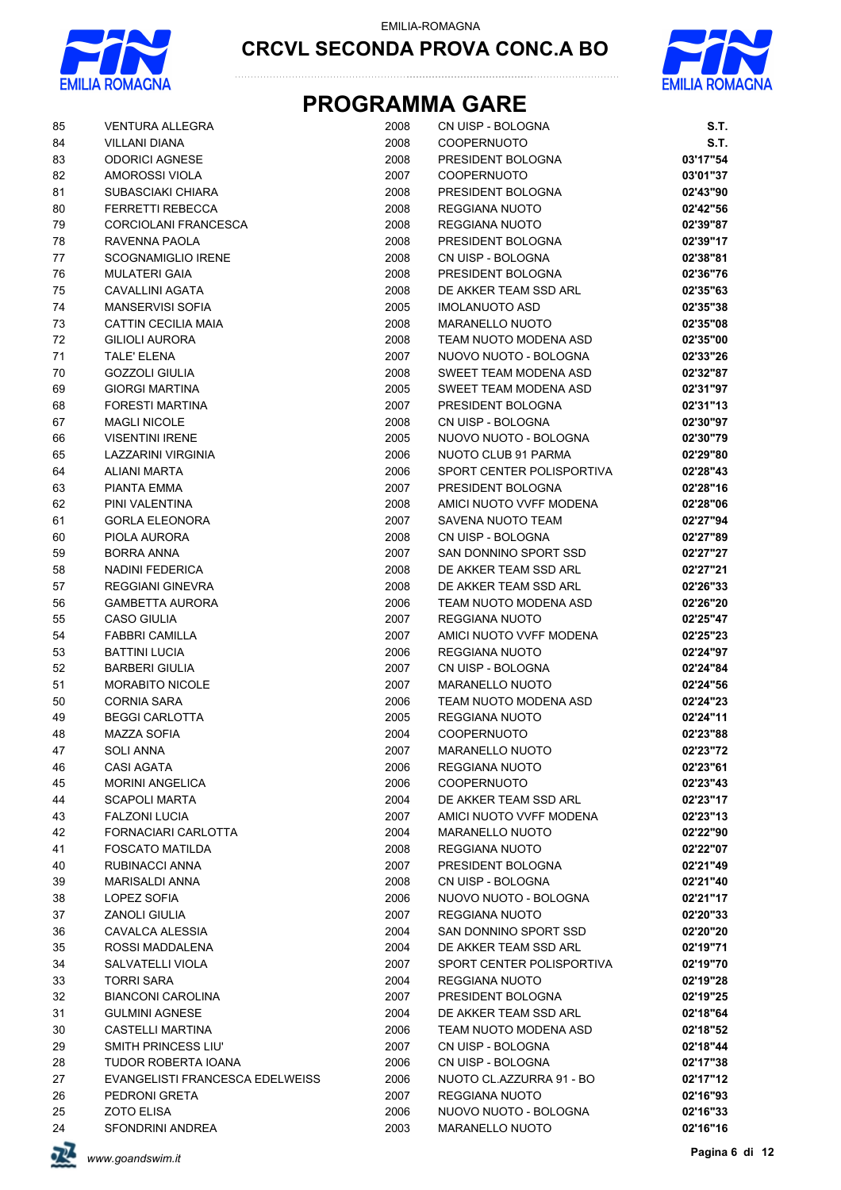



# **PROGRAMMA GARE**

| 85     | <b>VENTURA ALLEGRA</b>          | 2008 | CN UISP - BOLOGNA         | S.T.     |
|--------|---------------------------------|------|---------------------------|----------|
| 84     | <b>VILLANI DIANA</b>            | 2008 | <b>COOPERNUOTO</b>        | S.T.     |
| 83     | <b>ODORICI AGNESE</b>           | 2008 | PRESIDENT BOLOGNA         | 03'17"54 |
| 82     | AMOROSSI VIOLA                  | 2007 | <b>COOPERNUOTO</b>        | 03'01"37 |
| 81     | SUBASCIAKI CHIARA               | 2008 | PRESIDENT BOLOGNA         | 02'43"90 |
| 80     | <b>FERRETTI REBECCA</b>         | 2008 | REGGIANA NUOTO            | 02'42"56 |
| 79     | CORCIOLANI FRANCESCA            | 2008 | REGGIANA NUOTO            | 02'39"87 |
| 78     | RAVENNA PAOLA                   | 2008 | PRESIDENT BOLOGNA         | 02'39"17 |
| 77     | <b>SCOGNAMIGLIO IRENE</b>       | 2008 | CN UISP - BOLOGNA         | 02'38"81 |
| 76     | <b>MULATERI GAIA</b>            | 2008 | PRESIDENT BOLOGNA         | 02'36"76 |
| 75     | CAVALLINI AGATA                 | 2008 | DE AKKER TEAM SSD ARL     | 02'35"63 |
| 74     | <b>MANSERVISI SOFIA</b>         | 2005 | <b>IMOLANUOTO ASD</b>     | 02'35"38 |
| 73     | CATTIN CECILIA MAIA             | 2008 | MARANELLO NUOTO           | 02'35"08 |
| 72     | <b>GILIOLI AURORA</b>           | 2008 | TEAM NUOTO MODENA ASD     | 02'35"00 |
| $71$   | TALE' ELENA                     | 2007 | NUOVO NUOTO - BOLOGNA     | 02'33"26 |
| $70\,$ | <b>GOZZOLI GIULIA</b>           | 2008 | SWEET TEAM MODENA ASD     | 02'32"87 |
| 69     | <b>GIORGI MARTINA</b>           | 2005 | SWEET TEAM MODENA ASD     | 02'31"97 |
| 68     | FORESTI MARTINA                 | 2007 | PRESIDENT BOLOGNA         | 02'31"13 |
| 67     | <b>MAGLI NICOLE</b>             | 2008 | CN UISP - BOLOGNA         | 02'30"97 |
| 66     | <b>VISENTINI IRENE</b>          | 2005 | NUOVO NUOTO - BOLOGNA     | 02'30"79 |
| 65     | <b>LAZZARINI VIRGINIA</b>       | 2006 | NUOTO CLUB 91 PARMA       | 02'29"80 |
| 64     | ALIANI MARTA                    | 2006 | SPORT CENTER POLISPORTIVA | 02'28"43 |
| 63     | PIANTA EMMA                     | 2007 | PRESIDENT BOLOGNA         | 02'28"16 |
| 62     | PINI VALENTINA                  | 2008 | AMICI NUOTO VVFF MODENA   | 02'28"06 |
| 61     | <b>GORLA ELEONORA</b>           | 2007 | SAVENA NUOTO TEAM         | 02'27"94 |
| 60     | PIOLA AURORA                    | 2008 | CN UISP - BOLOGNA         | 02'27"89 |
| 59     | <b>BORRA ANNA</b>               | 2007 | SAN DONNINO SPORT SSD     | 02'27"27 |
| 58     | <b>NADINI FEDERICA</b>          | 2008 | DE AKKER TEAM SSD ARL     | 02'27"21 |
| 57     | <b>REGGIANI GINEVRA</b>         | 2008 | DE AKKER TEAM SSD ARL     | 02'26"33 |
| 56     | <b>GAMBETTA AURORA</b>          | 2006 | TEAM NUOTO MODENA ASD     | 02'26"20 |
| 55     | <b>CASO GIULIA</b>              | 2007 | REGGIANA NUOTO            | 02'25"47 |
| 54     | <b>FABBRI CAMILLA</b>           | 2007 | AMICI NUOTO VVFF MODENA   | 02'25"23 |
| 53     | <b>BATTINI LUCIA</b>            | 2006 | REGGIANA NUOTO            | 02'24"97 |
| 52     | <b>BARBERI GIULIA</b>           | 2007 | CN UISP - BOLOGNA         | 02'24"84 |
| 51     | <b>MORABITO NICOLE</b>          | 2007 | <b>MARANELLO NUOTO</b>    | 02'24"56 |
| 50     | <b>CORNIA SARA</b>              | 2006 | TEAM NUOTO MODENA ASD     | 02'24"23 |
| 49     | <b>BEGGI CARLOTTA</b>           | 2005 | <b>REGGIANA NUOTO</b>     | 02'24"11 |
| 48     | <b>MAZZA SOFIA</b>              | 2004 | COOPERNUOTO               | 02'23"88 |
| 47     | <b>SOLI ANNA</b>                | 2007 | MARANELLO NUOTO           | 02'23"72 |
| 46     | CASI AGATA                      | 2006 | REGGIANA NUOTO            | 02'23"61 |
| 45     | <b>MORINI ANGELICA</b>          | 2006 | <b>COOPERNUOTO</b>        | 02'23"43 |
| 44     | <b>SCAPOLI MARTA</b>            | 2004 | DE AKKER TEAM SSD ARL     | 02'23"17 |
| 43     | <b>FALZONI LUCIA</b>            | 2007 | AMICI NUOTO VVFF MODENA   | 02'23"13 |
| 42     | FORNACIARI CARLOTTA             | 2004 | <b>MARANELLO NUOTO</b>    | 02'22"90 |
| 41     | <b>FOSCATO MATILDA</b>          | 2008 | REGGIANA NUOTO            | 02'22"07 |
| 40     | <b>RUBINACCI ANNA</b>           | 2007 | PRESIDENT BOLOGNA         | 02'21"49 |
| 39     | <b>MARISALDI ANNA</b>           | 2008 | CN UISP - BOLOGNA         | 02'21"40 |
| 38     | LOPEZ SOFIA                     | 2006 | NUOVO NUOTO - BOLOGNA     | 02'21"17 |
| 37     | <b>ZANOLI GIULIA</b>            | 2007 | REGGIANA NUOTO            | 02'20"33 |
| 36     | CAVALCA ALESSIA                 | 2004 | SAN DONNINO SPORT SSD     | 02'20"20 |
| 35     | ROSSI MADDALENA                 | 2004 | DE AKKER TEAM SSD ARL     | 02'19"71 |
| 34     | SALVATELLI VIOLA                | 2007 | SPORT CENTER POLISPORTIVA | 02'19"70 |
| 33     | <b>TORRI SARA</b>               | 2004 | REGGIANA NUOTO            | 02'19"28 |
| 32     | <b>BIANCONI CAROLINA</b>        | 2007 | PRESIDENT BOLOGNA         | 02'19"25 |
| 31     | <b>GULMINI AGNESE</b>           | 2004 | DE AKKER TEAM SSD ARL     | 02'18"64 |
| 30     | <b>CASTELLI MARTINA</b>         | 2006 | TEAM NUOTO MODENA ASD     | 02'18"52 |
| 29     | SMITH PRINCESS LIU'             | 2007 | CN UISP - BOLOGNA         | 02'18"44 |
| 28     | TUDOR ROBERTA IOANA             | 2006 | CN UISP - BOLOGNA         | 02'17"38 |
| 27     | EVANGELISTI FRANCESCA EDELWEISS | 2006 | NUOTO CL.AZZURRA 91 - BO  | 02'17"12 |
| 26     | PEDRONI GRETA                   | 2007 | REGGIANA NUOTO            | 02'16"93 |
| 25     | <b>ZOTO ELISA</b>               | 2006 | NUOVO NUOTO - BOLOGNA     | 02'16"33 |
| 24     | SFONDRINI ANDREA                | 2003 | MARANELLO NUOTO           | 02'16"16 |

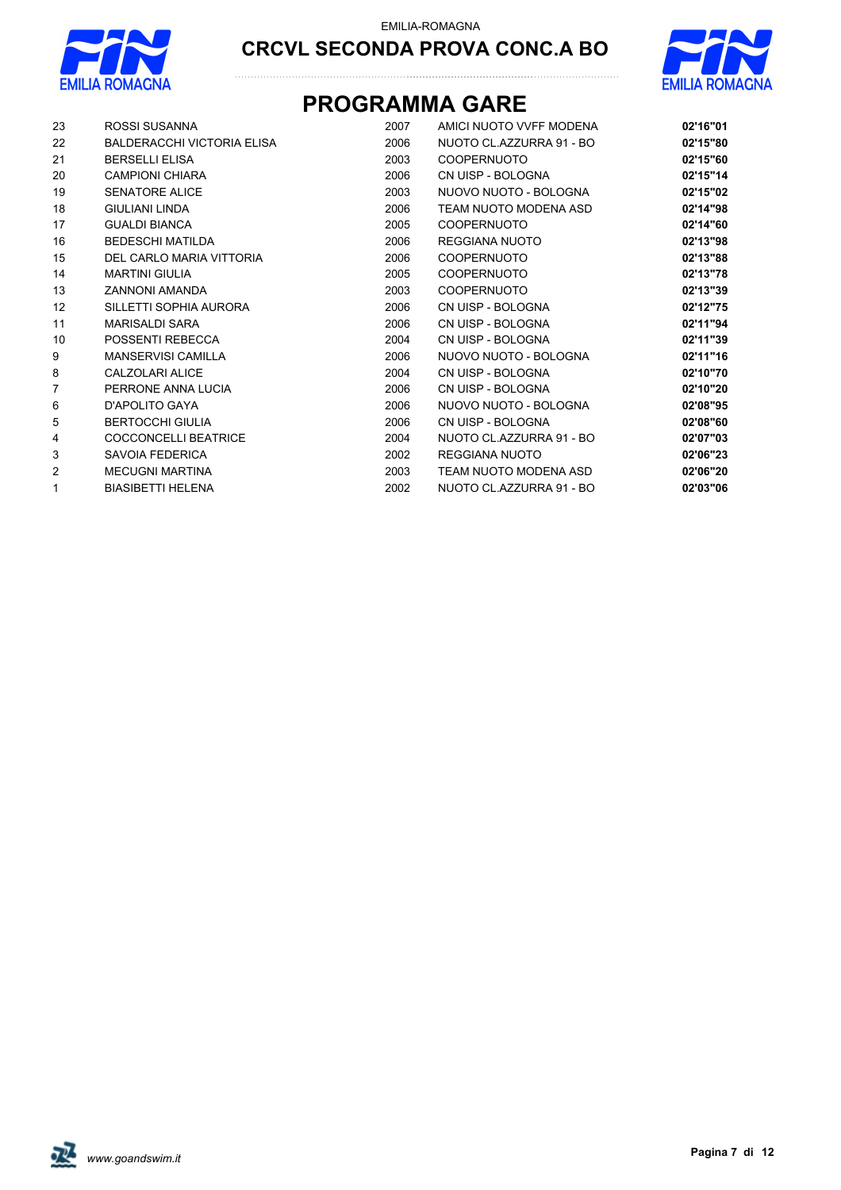



# **CRCVL SECONDA PROVA CONC.A BO**

## **PROGRAMMA GARE**

| 23             | ROSSI SUSANNA              | 2007 | AMICI NUOTO VVFF MODENA  | 02'16"01 |
|----------------|----------------------------|------|--------------------------|----------|
| 22             | BALDERACCHI VICTORIA ELISA | 2006 | NUOTO CL.AZZURRA 91 - BO | 02'15"80 |
| 21             | <b>BERSELLI ELISA</b>      | 2003 | <b>COOPERNUOTO</b>       | 02'15"60 |
| 20             | CAMPIONI CHIARA            | 2006 | CN UISP - BOLOGNA        | 02'15"14 |
| 19             | <b>SENATORE ALICE</b>      | 2003 | NUOVO NUOTO - BOLOGNA    | 02'15"02 |
| 18             | <b>GIULIANI LINDA</b>      | 2006 | TEAM NUOTO MODENA ASD    | 02'14"98 |
| 17             | <b>GUALDI BIANCA</b>       | 2005 | <b>COOPERNUOTO</b>       | 02'14"60 |
| 16             | <b>BEDESCHI MATILDA</b>    | 2006 | <b>REGGIANA NUOTO</b>    | 02'13"98 |
| 15             | DEL CARLO MARIA VITTORIA   | 2006 | <b>COOPERNUOTO</b>       | 02'13"88 |
| 14             | <b>MARTINI GIULIA</b>      | 2005 | <b>COOPERNUOTO</b>       | 02'13"78 |
| 13             | <b>ZANNONI AMANDA</b>      | 2003 | <b>COOPERNUOTO</b>       | 02'13"39 |
| 12             | SILLETTI SOPHIA AURORA     | 2006 | CN UISP - BOLOGNA        | 02'12"75 |
| 11             | <b>MARISALDI SARA</b>      | 2006 | CN UISP - BOLOGNA        | 02'11"94 |
| 10             | POSSENTI REBECCA           | 2004 | CN UISP - BOLOGNA        | 02'11"39 |
| 9              | <b>MANSERVISI CAMILLA</b>  | 2006 | NUOVO NUOTO - BOLOGNA    | 02'11"16 |
| 8              | CALZOLARI ALICE            | 2004 | CN UISP - BOLOGNA        | 02'10"70 |
| $\overline{7}$ | PERRONE ANNA LUCIA         | 2006 | CN UISP - BOLOGNA        | 02'10"20 |
| 6              | D'APOLITO GAYA             | 2006 | NUOVO NUOTO - BOLOGNA    | 02'08"95 |
| 5              | <b>BERTOCCHI GIULIA</b>    | 2006 | CN UISP - BOLOGNA        | 02'08"60 |
| 4              | COCCONCELLI BEATRICE       | 2004 | NUOTO CL.AZZURRA 91 - BO | 02'07"03 |
| 3              | SAVOIA FEDERICA            | 2002 | <b>REGGIANA NUOTO</b>    | 02'06"23 |
| $\overline{2}$ | <b>MECUGNI MARTINA</b>     | 2003 | TEAM NUOTO MODENA ASD    | 02'06"20 |
| $\mathbf{1}$   | <b>BIASIBETTI HELENA</b>   | 2002 | NUOTO CL.AZZURRA 91 - BO | 02'03"06 |

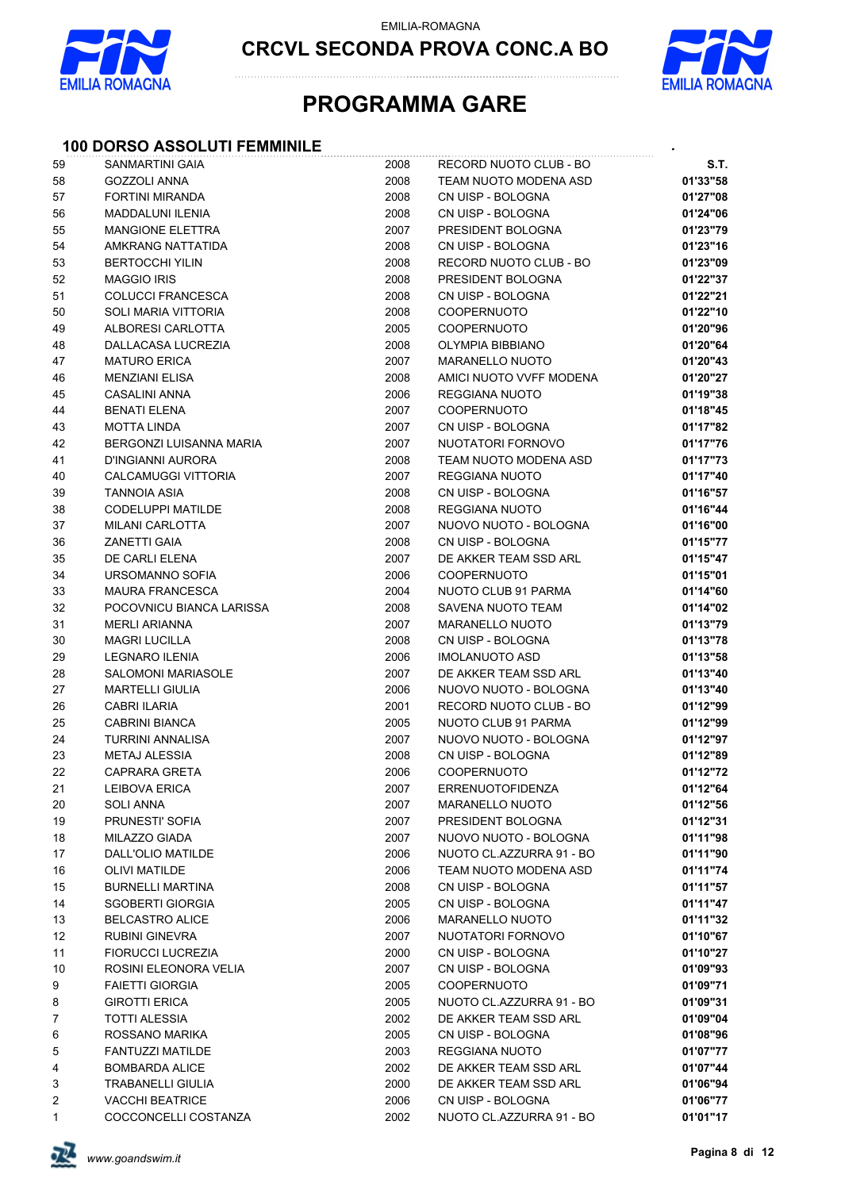

**CRCVL SECONDA PROVA CONC.A BO**



## **PROGRAMMA GARE**

### **100 DORSO ASSOLUTI FEMMINILE** *.*

| 59       | <b>SANMARTINI GAIA</b>     | 2008 | RECORD NUOTO CLUB - BO   | S.T.                 |
|----------|----------------------------|------|--------------------------|----------------------|
| 58       | <b>GOZZOLI ANNA</b>        | 2008 | TEAM NUOTO MODENA ASD    | 01'33"58             |
| 57       | FORTINI MIRANDA            | 2008 | CN UISP - BOLOGNA        | 01'27"08             |
| 56       | <b>MADDALUNI ILENIA</b>    | 2008 | CN UISP - BOLOGNA        | 01'24"06             |
| 55       | <b>MANGIONE ELETTRA</b>    | 2007 | PRESIDENT BOLOGNA        | 01'23"79             |
| 54       | AMKRANG NATTATIDA          | 2008 | CN UISP - BOLOGNA        | 01'23"16             |
| 53       | <b>BERTOCCHI YILIN</b>     | 2008 | RECORD NUOTO CLUB - BO   | 01'23"09             |
| 52       | <b>MAGGIO IRIS</b>         | 2008 | PRESIDENT BOLOGNA        | 01'22"37             |
| 51       | <b>COLUCCI FRANCESCA</b>   | 2008 | CN UISP - BOLOGNA        | 01'22"21             |
| 50       | <b>SOLI MARIA VITTORIA</b> | 2008 | <b>COOPERNUOTO</b>       | 01'22"10             |
| 49       | ALBORESI CARLOTTA          | 2005 | <b>COOPERNUOTO</b>       | 01'20"96             |
| 48       | DALLACASA LUCREZIA         | 2008 | <b>OLYMPIA BIBBIANO</b>  | 01'20"64             |
| 47       | <b>MATURO ERICA</b>        | 2007 | <b>MARANELLO NUOTO</b>   | 01'20"43             |
| 46       | <b>MENZIANI ELISA</b>      | 2008 | AMICI NUOTO VVFF MODENA  | 01'20"27             |
| 45       | CASALINI ANNA              | 2006 | REGGIANA NUOTO           | 01'19"38             |
| 44       | <b>BENATI ELENA</b>        | 2007 | <b>COOPERNUOTO</b>       | 01'18"45             |
| 43       | <b>MOTTA LINDA</b>         | 2007 | CN UISP - BOLOGNA        | 01'17"82             |
| 42       | BERGONZI LUISANNA MARIA    | 2007 | NUOTATORI FORNOVO        | 01'17"76             |
| 41       | D'INGIANNI AURORA          | 2008 | TEAM NUOTO MODENA ASD    | 01'17"73             |
| 40       | <b>CALCAMUGGI VITTORIA</b> | 2007 | REGGIANA NUOTO           | 01'17"40             |
| 39       | <b>TANNOIA ASIA</b>        | 2008 | CN UISP - BOLOGNA        | 01'16"57             |
| 38       | CODELUPPI MATILDE          | 2008 | REGGIANA NUOTO           | 01'16"44             |
| 37       | <b>MILANI CARLOTTA</b>     | 2007 | NUOVO NUOTO - BOLOGNA    | 01'16"00             |
| 36       | <b>ZANETTI GAIA</b>        | 2008 | CN UISP - BOLOGNA        | 01'15"77             |
| 35       | DE CARLI ELENA             | 2007 | DE AKKER TEAM SSD ARL    | 01'15"47             |
| 34       | URSOMANNO SOFIA            | 2006 | COOPERNUOTO              | 01'15"01             |
| 33       | <b>MAURA FRANCESCA</b>     | 2004 | NUOTO CLUB 91 PARMA      | 01'14"60             |
| 32       | POCOVNICU BIANCA LARISSA   | 2008 | SAVENA NUOTO TEAM        | 01'14"02             |
| 31       | <b>MERLI ARIANNA</b>       | 2007 | <b>MARANELLO NUOTO</b>   | 01'13"79             |
| $30\,$   | <b>MAGRI LUCILLA</b>       | 2008 | CN UISP - BOLOGNA        | 01'13"78             |
|          | <b>LEGNARO ILENIA</b>      | 2006 | <b>IMOLANUOTO ASD</b>    | 01'13"58             |
| 29<br>28 | <b>SALOMONI MARIASOLE</b>  | 2007 | DE AKKER TEAM SSD ARL    | 01'13"40             |
| 27       | <b>MARTELLI GIULIA</b>     | 2006 | NUOVO NUOTO - BOLOGNA    | 01'13"40             |
|          |                            |      | RECORD NUOTO CLUB - BO   |                      |
| 26       | <b>CABRI ILARIA</b>        | 2001 |                          | 01'12"99             |
| 25       | <b>CABRINI BIANCA</b>      | 2005 | NUOTO CLUB 91 PARMA      | 01'12"99             |
| 24       | <b>TURRINI ANNALISA</b>    | 2007 | NUOVO NUOTO - BOLOGNA    | 01'12"97             |
| 23       | <b>METAJ ALESSIA</b>       | 2008 | CN UISP - BOLOGNA        | 01'12"89             |
| 22       | <b>CAPRARA GRETA</b>       | 2006 | COOPERNUOTO              | 01'12"72<br>01'12"64 |
| 21       | <b>LEIBOVA ERICA</b>       | 2007 | ERRENUOTOFIDENZA         |                      |
| 20       | SOLI ANNA                  | 2007 | <b>MARANELLO NUOTO</b>   | 01'12"56             |
| 19       | PRUNESTI' SOFIA            | 2007 | PRESIDENT BOLOGNA        | 01'12"31             |
| 18       | MILAZZO GIADA              | 2007 | NUOVO NUOTO - BOLOGNA    | 01'11"98             |
| 17       | DALL'OLIO MATILDE          | 2006 | NUOTO CL.AZZURRA 91 - BO | 01'11"90             |
| 16       | OLIVI MATILDE              | 2006 | TEAM NUOTO MODENA ASD    | 01'11"74             |
| 15       | <b>BURNELLI MARTINA</b>    | 2008 | CN UISP - BOLOGNA        | 01'11"57             |
| 14       | <b>SGOBERTI GIORGIA</b>    | 2005 | CN UISP - BOLOGNA        | 01'11"47             |
| 13       | <b>BELCASTRO ALICE</b>     | 2006 | <b>MARANELLO NUOTO</b>   | 01'11"32             |
| 12       | <b>RUBINI GINEVRA</b>      | 2007 | NUOTATORI FORNOVO        | 01'10"67             |
| 11       | FIORUCCI LUCREZIA          | 2000 | CN UISP - BOLOGNA        | 01'10"27             |
| 10       | ROSINI ELEONORA VELIA      | 2007 | CN UISP - BOLOGNA        | 01'09"93             |
| 9        | <b>FAIETTI GIORGIA</b>     | 2005 | <b>COOPERNUOTO</b>       | 01'09"71             |
| 8        | <b>GIROTTI ERICA</b>       | 2005 | NUOTO CL.AZZURRA 91 - BO | 01'09"31             |
| 7        | <b>TOTTI ALESSIA</b>       | 2002 | DE AKKER TEAM SSD ARL    | 01'09"04             |
| 6        | ROSSANO MARIKA             | 2005 | CN UISP - BOLOGNA        | 01'08"96             |
| 5        | FANTUZZI MATILDE           | 2003 | REGGIANA NUOTO           | 01'07"77             |
| 4        | <b>BOMBARDA ALICE</b>      | 2002 | DE AKKER TEAM SSD ARL    | 01'07"44             |
| 3        | <b>TRABANELLI GIULIA</b>   | 2000 | DE AKKER TEAM SSD ARL    | 01'06"94             |
| 2        | <b>VACCHI BEATRICE</b>     | 2006 | CN UISP - BOLOGNA        | 01'06"77             |
| 1        | COCCONCELLI COSTANZA       | 2002 | NUOTO CL.AZZURRA 91 - BO | 01'01"17             |

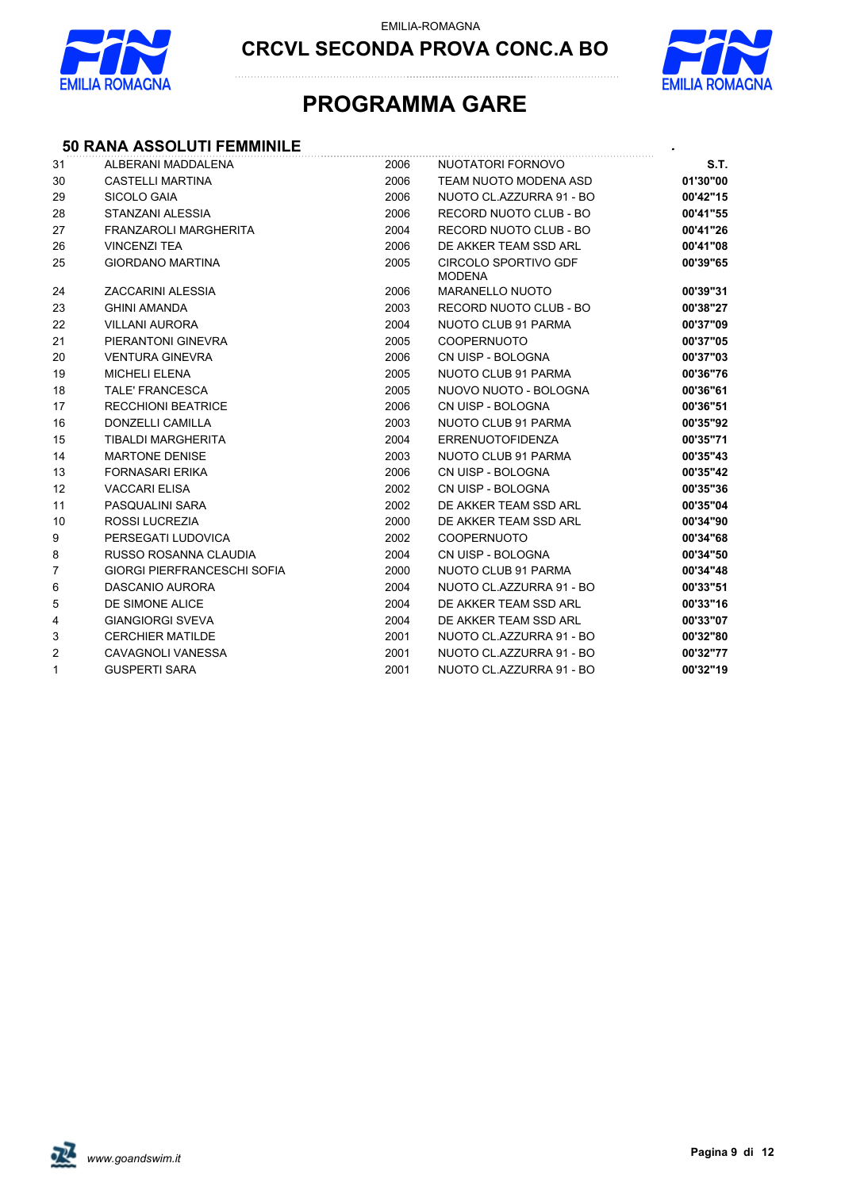



## **PROGRAMMA GARE**

### **50 RANA ASSOLUTI FEMMINILE** *.*

| 31             | ALBERANI MADDALENA                 | 2006 | NUOTATORI FORNOVO                     | S.T.     |
|----------------|------------------------------------|------|---------------------------------------|----------|
| 30             | CASTELLI MARTINA                   | 2006 | TEAM NUOTO MODENA ASD                 | 01'30"00 |
| 29             | SICOLO GAIA                        | 2006 | NUOTO CL.AZZURRA 91 - BO              | 00'42"15 |
| 28             | STANZANI ALESSIA                   | 2006 | RECORD NUOTO CLUB - BO                | 00'41"55 |
| 27             | <b>FRANZAROLI MARGHERITA</b>       | 2004 | RECORD NUOTO CLUB - BO                | 00'41"26 |
| 26             | <b>VINCENZI TEA</b>                | 2006 | DE AKKER TEAM SSD ARL                 | 00'41"08 |
| 25             | <b>GIORDANO MARTINA</b>            | 2005 | CIRCOLO SPORTIVO GDF<br><b>MODENA</b> | 00'39"65 |
| 24             | ZACCARINI ALESSIA                  | 2006 | <b>MARANELLO NUOTO</b>                | 00'39"31 |
| 23             | <b>GHINI AMANDA</b>                | 2003 | RECORD NUOTO CLUB - BO                | 00'38"27 |
| 22             | <b>VILLANI AURORA</b>              | 2004 | NUOTO CLUB 91 PARMA                   | 00'37"09 |
| 21             | PIERANTONI GINEVRA                 | 2005 | <b>COOPERNUOTO</b>                    | 00'37"05 |
| 20             | <b>VENTURA GINEVRA</b>             | 2006 | CN UISP - BOLOGNA                     | 00'37"03 |
| 19             | <b>MICHELI ELENA</b>               | 2005 | NUOTO CLUB 91 PARMA                   | 00'36"76 |
| 18             | <b>TALE' FRANCESCA</b>             | 2005 | NUOVO NUOTO - BOLOGNA                 | 00'36"61 |
| 17             | <b>RECCHIONI BEATRICE</b>          | 2006 | CN UISP - BOLOGNA                     | 00'36"51 |
| 16             | <b>DONZELLI CAMILLA</b>            | 2003 | NUOTO CLUB 91 PARMA                   | 00'35"92 |
| 15             | <b>TIBALDI MARGHERITA</b>          | 2004 | <b>ERRENUOTOFIDENZA</b>               | 00'35"71 |
| 14             | <b>MARTONE DENISE</b>              | 2003 | NUOTO CLUB 91 PARMA                   | 00'35"43 |
| 13             | <b>FORNASARI ERIKA</b>             | 2006 | CN UISP - BOLOGNA                     | 00'35"42 |
| 12             | <b>VACCARI ELISA</b>               | 2002 | CN UISP - BOLOGNA                     | 00'35"36 |
| 11             | PASQUALINI SARA                    | 2002 | DE AKKER TEAM SSD ARL                 | 00'35"04 |
| 10             | <b>ROSSI LUCREZIA</b>              | 2000 | DE AKKER TEAM SSD ARL                 | 00'34"90 |
| 9              | PERSEGATI LUDOVICA                 | 2002 | <b>COOPERNUOTO</b>                    | 00'34"68 |
| 8              | RUSSO ROSANNA CLAUDIA              | 2004 | CN UISP - BOLOGNA                     | 00'34"50 |
| $\overline{7}$ | <b>GIORGI PIERFRANCESCHI SOFIA</b> | 2000 | NUOTO CLUB 91 PARMA                   | 00'34"48 |
| 6              | DASCANIO AURORA                    | 2004 | NUOTO CL.AZZURRA 91 - BO              | 00'33"51 |
| 5              | DE SIMONE ALICE                    | 2004 | DE AKKER TEAM SSD ARL                 | 00'33"16 |
| 4              | <b>GIANGIORGI SVEVA</b>            | 2004 | DE AKKER TEAM SSD ARL                 | 00'33"07 |
| 3              | <b>CERCHIER MATILDE</b>            | 2001 | NUOTO CL.AZZURRA 91 - BO              | 00'32"80 |
| $\overline{c}$ | CAVAGNOLI VANESSA                  | 2001 | NUOTO CL.AZZURRA 91 - BO              | 00'32"77 |
| 1              | <b>GUSPERTI SARA</b>               | 2001 | NUOTO CL.AZZURRA 91 - BO              | 00'32"19 |

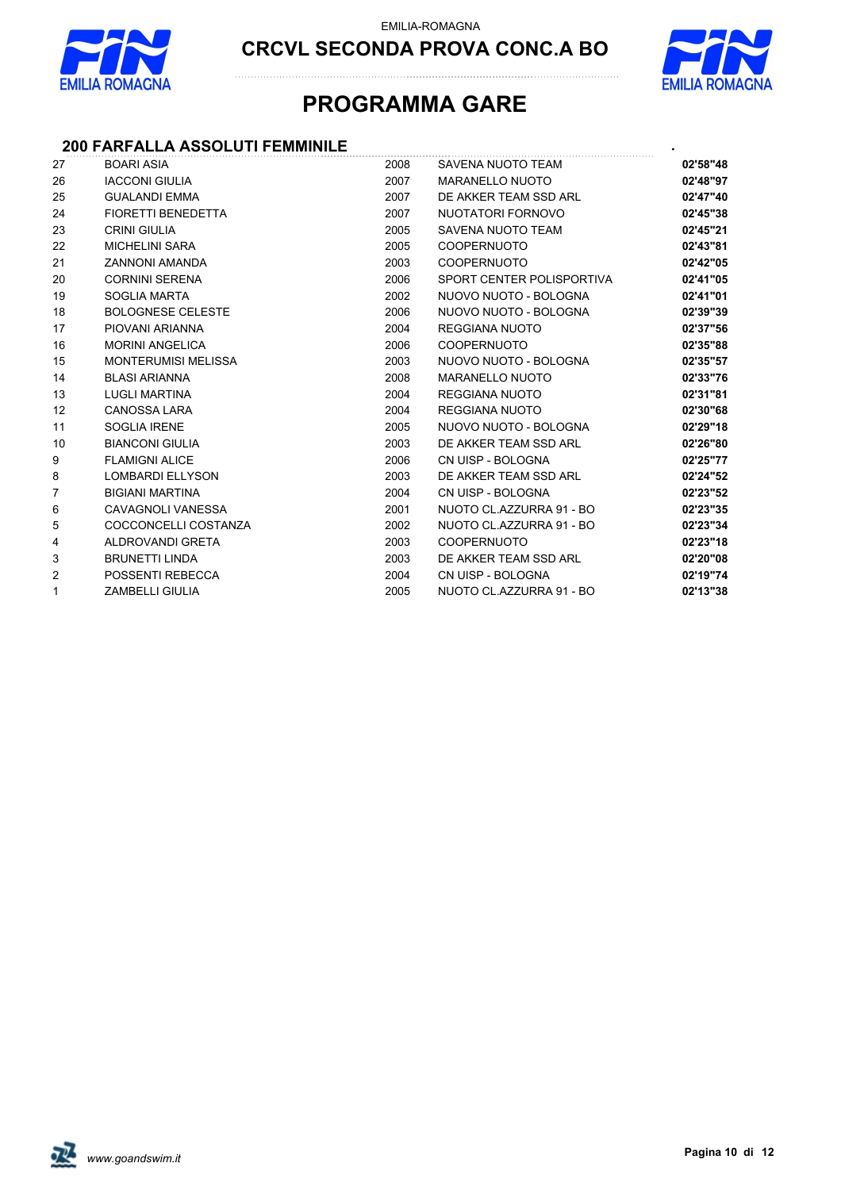



## **PROGRAMMA GARE**

### **200 FARFALLA ASSOLUTI FEMMINILE** *.*

| 27             | <b>BOARI ASIA</b>          | 2008 | SAVENA NUOTO TEAM         | 02'58"48 |
|----------------|----------------------------|------|---------------------------|----------|
| 26             | <b>IACCONI GIULIA</b>      | 2007 | <b>MARANELLO NUOTO</b>    | 02'48"97 |
| 25             | <b>GUALANDI EMMA</b>       | 2007 | DE AKKER TEAM SSD ARL     | 02'47"40 |
| 24             | <b>FIORETTI BENEDETTA</b>  | 2007 | NUOTATORI FORNOVO         | 02'45"38 |
| 23             | <b>CRINI GIULIA</b>        | 2005 | SAVENA NUOTO TEAM         | 02'45"21 |
| 22             | <b>MICHELINI SARA</b>      | 2005 | <b>COOPERNUOTO</b>        | 02'43"81 |
| 21             | <b>ZANNONI AMANDA</b>      | 2003 | <b>COOPERNUOTO</b>        | 02'42"05 |
| 20             | <b>CORNINI SERENA</b>      | 2006 | SPORT CENTER POLISPORTIVA | 02'41"05 |
| 19             | SOGLIA MARTA               | 2002 | NUOVO NUOTO - BOLOGNA     | 02'41"01 |
| 18             | <b>BOLOGNESE CELESTE</b>   | 2006 | NUOVO NUOTO - BOLOGNA     | 02'39"39 |
| 17             | PIOVANI ARIANNA            | 2004 | REGGIANA NUOTO            | 02'37"56 |
| 16             | <b>MORINI ANGELICA</b>     | 2006 | <b>COOPERNUOTO</b>        | 02'35"88 |
| 15             | <b>MONTERUMISI MELISSA</b> | 2003 | NUOVO NUOTO - BOLOGNA     | 02'35"57 |
| 14             | <b>BLASI ARIANNA</b>       | 2008 | <b>MARANELLO NUOTO</b>    | 02'33"76 |
| 13             | <b>LUGLI MARTINA</b>       | 2004 | <b>REGGIANA NUOTO</b>     | 02'31"81 |
| 12             | <b>CANOSSA LARA</b>        | 2004 | REGGIANA NUOTO            | 02'30"68 |
| 11             | <b>SOGLIA IRENE</b>        | 2005 | NUOVO NUOTO - BOLOGNA     | 02'29"18 |
| 10             | <b>BIANCONI GIULIA</b>     | 2003 | DE AKKER TEAM SSD ARL     | 02'26"80 |
| 9              | <b>FLAMIGNI ALICE</b>      | 2006 | CN UISP - BOLOGNA         | 02'25"77 |
| 8              | <b>LOMBARDI ELLYSON</b>    | 2003 | DE AKKER TEAM SSD ARL     | 02'24"52 |
| $\overline{7}$ | <b>BIGIANI MARTINA</b>     | 2004 | CN UISP - BOLOGNA         | 02'23"52 |
| 6              | CAVAGNOLI VANESSA          | 2001 | NUOTO CL.AZZURRA 91 - BO  | 02'23"35 |
| 5              | COCCONCELLI COSTANZA       | 2002 | NUOTO CL.AZZURRA 91 - BO  | 02'23"34 |
| 4              | ALDROVANDI GRETA           | 2003 | <b>COOPERNUOTO</b>        | 02'23"18 |
| 3              | <b>BRUNETTI LINDA</b>      | 2003 | DE AKKER TEAM SSD ARL     | 02'20"08 |
| $\overline{2}$ | POSSENTI REBECCA           | 2004 | CN UISP - BOLOGNA         | 02'19"74 |
| $\mathbf{1}$   | <b>ZAMBELLI GIULIA</b>     | 2005 | NUOTO CL.AZZURRA 91 - BO  | 02'13"38 |

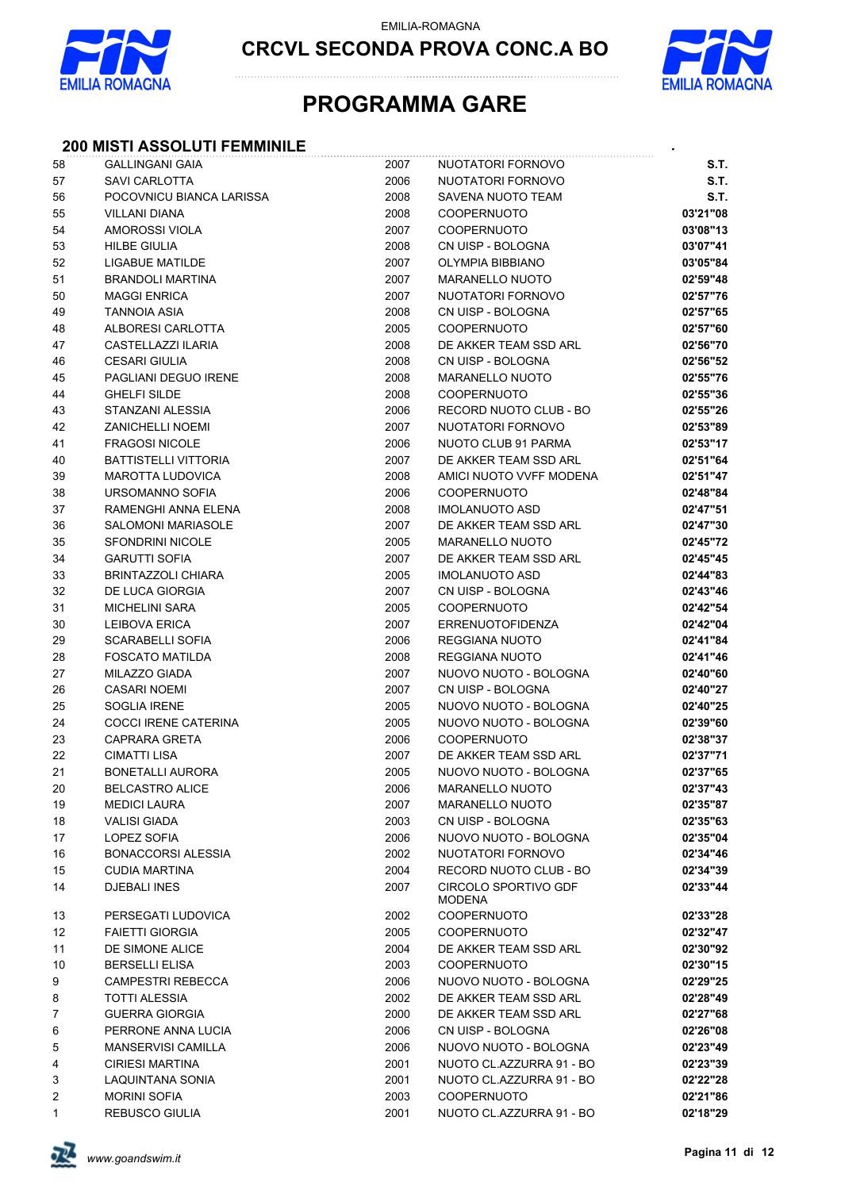

**CRCVL SECONDA PROVA CONC.A BO**



## **PROGRAMMA GARE**

### **200 MISTI ASSOLUTI FEMMINILE** *.*

| 58       | <b>GALLINGANI GAIA</b>                            | 2007         | NUOTATORI FORNOVO                            | S.T.                 |
|----------|---------------------------------------------------|--------------|----------------------------------------------|----------------------|
| 57       | SAVI CARLOTTA                                     | 2006         | NUOTATORI FORNOVO                            | <b>S.T.</b>          |
| 56       | POCOVNICU BIANCA LARISSA                          | 2008         | SAVENA NUOTO TEAM                            | S.T.                 |
| 55       | <b>VILLANI DIANA</b>                              | 2008         | <b>COOPERNUOTO</b>                           | 03'21"08             |
| 54       | AMOROSSI VIOLA                                    | 2007         | <b>COOPERNUOTO</b>                           | 03'08"13             |
| 53       | <b>HILBE GIULIA</b>                               | 2008         | CN UISP - BOLOGNA                            | 03'07"41             |
| 52       | LIGABUE MATILDE                                   | 2007         | OLYMPIA BIBBIANO                             | 03'05"84             |
| 51       | <b>BRANDOLI MARTINA</b>                           | 2007         | <b>MARANELLO NUOTO</b>                       | 02'59"48             |
| 50       | <b>MAGGI ENRICA</b>                               | 2007         | NUOTATORI FORNOVO                            | 02'57"76             |
| 49       | <b>TANNOIA ASIA</b>                               | 2008         | CN UISP - BOLOGNA                            | 02'57"65             |
| 48       | ALBORESI CARLOTTA                                 | 2005         | <b>COOPERNUOTO</b>                           | 02'57"60             |
| 47       | CASTELLAZZI ILARIA                                | 2008         | DE AKKER TEAM SSD ARL                        | 02'56"70             |
| 46       | <b>CESARI GIULIA</b>                              | 2008         | CN UISP - BOLOGNA                            | 02'56"52             |
| 45       | PAGLIANI DEGUO IRENE                              | 2008         | MARANELLO NUOTO                              | 02'55"76             |
| 44       | <b>GHELFI SILDE</b>                               | 2008         | <b>COOPERNUOTO</b>                           | 02'55"36             |
| 43       | STANZANI ALESSIA                                  | 2006         | RECORD NUOTO CLUB - BO                       | 02'55"26             |
| 42       | <b>ZANICHELLI NOEMI</b>                           | 2007         | NUOTATORI FORNOVO                            | 02'53"89             |
| 41       | <b>FRAGOSI NICOLE</b>                             | 2006         | NUOTO CLUB 91 PARMA                          | 02'53"17             |
| 40       | <b>BATTISTELLI VITTORIA</b>                       | 2007         | DE AKKER TEAM SSD ARL                        | 02'51"64             |
| 39       | <b>MAROTTA LUDOVICA</b>                           | 2008         | AMICI NUOTO VVFF MODENA                      | 02'51"47             |
| 38       | URSOMANNO SOFIA                                   | 2006         | <b>COOPERNUOTO</b>                           | 02'48"84             |
| 37       | RAMENGHI ANNA ELENA                               | 2008         | <b>IMOLANUOTO ASD</b>                        | 02'47"51             |
| 36       | <b>SALOMONI MARIASOLE</b>                         | 2007         | DE AKKER TEAM SSD ARL                        | 02'47"30             |
| 35       | <b>SFONDRINI NICOLE</b>                           | 2005         | <b>MARANELLO NUOTO</b>                       | 02'45"72             |
| 34       | <b>GARUTTI SOFIA</b>                              | 2007         | DE AKKER TEAM SSD ARL                        | 02'45"45             |
| 33       | <b>BRINTAZZOLI CHIARA</b>                         | 2005         | <b>IMOLANUOTO ASD</b>                        | 02'44"83             |
| 32       | DE LUCA GIORGIA                                   | 2007         | CN UISP - BOLOGNA                            | 02'43"46             |
| 31       | <b>MICHELINI SARA</b>                             | 2005         | <b>COOPERNUOTO</b>                           | 02'42"54             |
| 30       | <b>LEIBOVA ERICA</b>                              | 2007<br>2006 | <b>ERRENUOTOFIDENZA</b>                      | 02'42"04             |
| 29<br>28 | <b>SCARABELLI SOFIA</b><br><b>FOSCATO MATILDA</b> | 2008         | REGGIANA NUOTO<br>REGGIANA NUOTO             | 02'41"84<br>02'41"46 |
| 27       | MILAZZO GIADA                                     | 2007         | NUOVO NUOTO - BOLOGNA                        | 02'40"60             |
| 26       | <b>CASARI NOEMI</b>                               | 2007         | CN UISP - BOLOGNA                            | 02'40"27             |
| 25       | <b>SOGLIA IRENE</b>                               | 2005         | NUOVO NUOTO - BOLOGNA                        | 02'40"25             |
| 24       | <b>COCCI IRENE CATERINA</b>                       | 2005         | NUOVO NUOTO - BOLOGNA                        | 02'39"60             |
| 23       | CAPRARA GRETA                                     | 2006         | COOPERNUOTO                                  | 02'38"37             |
| 22       | <b>CIMATTI LISA</b>                               | 2007         | DE AKKER TEAM SSD ARL                        | 02'37"71             |
| 21       | <b>BONETALLI AURORA</b>                           | 2005         | NUOVO NUOTO - BOLOGNA                        | 02'37"65             |
| 20       | <b>BELCASTRO ALICE</b>                            | 2006         | MARANELLO NUOTO                              | 02'37"43             |
| 19       | <b>MEDICI LAURA</b>                               | 2007         | <b>MARANELLO NUOTO</b>                       | 02'35"87             |
| 18       | <b>VALISI GIADA</b>                               | 2003         | CN UISP - BOLOGNA                            | 02'35"63             |
| 17       | LOPEZ SOFIA                                       | 2006         | NUOVO NUOTO - BOLOGNA                        | 02'35"04             |
| 16       | <b>BONACCORSI ALESSIA</b>                         | 2002         | NUOTATORI FORNOVO                            | 02'34"46             |
| 15       | <b>CUDIA MARTINA</b>                              | 2004         | RECORD NUOTO CLUB - BO                       | 02'34"39             |
| 14       | <b>DJEBALI INES</b>                               | 2007         | <b>CIRCOLO SPORTIVO GDF</b><br><b>MODENA</b> | 02'33"44             |
| 13       | PERSEGATI LUDOVICA                                | 2002         | <b>COOPERNUOTO</b>                           | 02'33"28             |
| 12       | <b>FAIETTI GIORGIA</b>                            | 2005         | <b>COOPERNUOTO</b>                           | 02'32"47             |
| 11       | DE SIMONE ALICE                                   | 2004         | DE AKKER TEAM SSD ARL                        | 02'30"92             |
| 10       | <b>BERSELLI ELISA</b>                             | 2003         | <b>COOPERNUOTO</b>                           | 02'30"15             |
| 9        | <b>CAMPESTRI REBECCA</b>                          | 2006         | NUOVO NUOTO - BOLOGNA                        | 02'29"25             |
| 8        | <b>TOTTI ALESSIA</b>                              | 2002         | DE AKKER TEAM SSD ARL                        | 02'28"49             |
| 7        | <b>GUERRA GIORGIA</b>                             | 2000         | DE AKKER TEAM SSD ARL                        | 02'27"68             |
| 6        | PERRONE ANNA LUCIA                                | 2006         | CN UISP - BOLOGNA                            | 02'26"08             |
| 5        | <b>MANSERVISI CAMILLA</b>                         | 2006         | NUOVO NUOTO - BOLOGNA                        | 02'23"49             |
| 4        | <b>CIRIESI MARTINA</b>                            | 2001         | NUOTO CL.AZZURRA 91 - BO                     | 02'23"39             |
| 3        | LAQUINTANA SONIA                                  | 2001         | NUOTO CL.AZZURRA 91 - BO                     | 02'22"28             |
| 2        | <b>MORINI SOFIA</b>                               | 2003         | <b>COOPERNUOTO</b>                           | 02'21"86             |
| 1        | <b>REBUSCO GIULIA</b>                             | 2001         | NUOTO CL.AZZURRA 91 - BO                     | 02'18"29             |